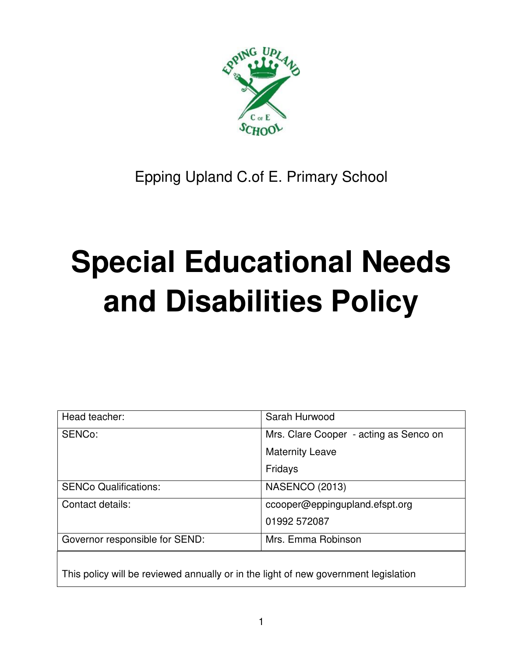

# Epping Upland C.of E. Primary School

# **Special Educational Needs and Disabilities Policy**

| Head teacher:                  | Sarah Hurwood                          |
|--------------------------------|----------------------------------------|
| SENCo:                         | Mrs. Clare Cooper - acting as Senco on |
|                                | <b>Maternity Leave</b>                 |
|                                | Fridays                                |
| <b>SENCo Qualifications:</b>   | <b>NASENCO (2013)</b>                  |
| Contact details:               | ccooper@eppingupland.efspt.org         |
|                                | 01992 572087                           |
| Governor responsible for SEND: | Mrs. Emma Robinson                     |
|                                |                                        |

This policy will be reviewed annually or in the light of new government legislation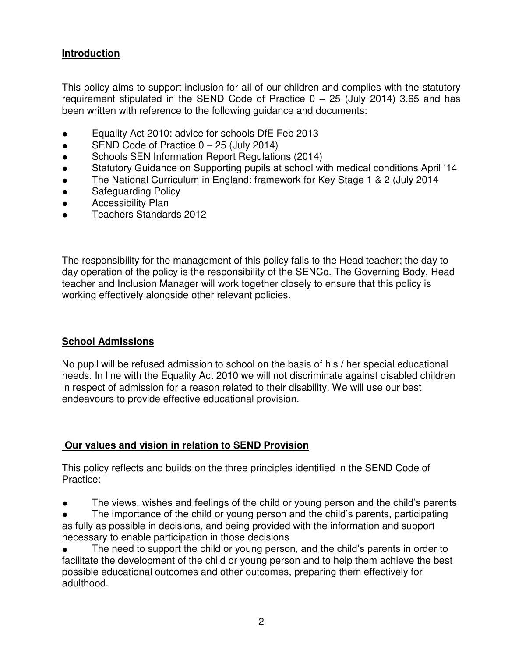#### **Introduction**

This policy aims to support inclusion for all of our children and complies with the statutory requirement stipulated in the SEND Code of Practice  $0 - 25$  (July 2014) 3.65 and has been written with reference to the following guidance and documents:

- Equality Act 2010: advice for schools DfE Feb 2013
- $\bullet$  SEND Code of Practice  $0 25$  (July 2014)
- Schools SEN Information Report Regulations (2014)
- Statutory Guidance on Supporting pupils at school with medical conditions April '14
- The National Curriculum in England: framework for Key Stage 1 & 2 (July 2014
- **•** Safeguarding Policy
- **•** Accessibility Plan
- Teachers Standards 2012

The responsibility for the management of this policy falls to the Head teacher; the day to day operation of the policy is the responsibility of the SENCo. The Governing Body, Head teacher and Inclusion Manager will work together closely to ensure that this policy is working effectively alongside other relevant policies.

#### **School Admissions**

No pupil will be refused admission to school on the basis of his / her special educational needs. In line with the Equality Act 2010 we will not discriminate against disabled children in respect of admission for a reason related to their disability. We will use our best endeavours to provide effective educational provision.

#### **Our values and vision in relation to SEND Provision**

This policy reflects and builds on the three principles identified in the SEND Code of Practice:

• The views, wishes and feelings of the child or young person and the child's parents

The importance of the child or young person and the child's parents, participating as fully as possible in decisions, and being provided with the information and support necessary to enable participation in those decisions

• The need to support the child or young person, and the child's parents in order to facilitate the development of the child or young person and to help them achieve the best possible educational outcomes and other outcomes, preparing them effectively for adulthood.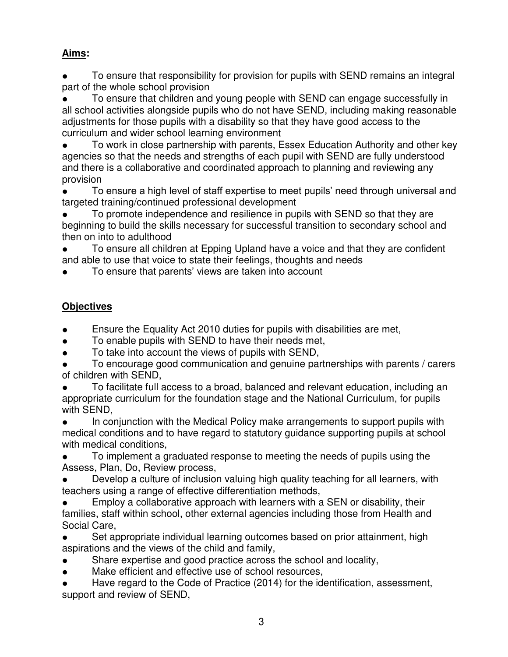# **Aims:**

To ensure that responsibility for provision for pupils with SEND remains an integral part of the whole school provision

To ensure that children and young people with SEND can engage successfully in all school activities alongside pupils who do not have SEND, including making reasonable adjustments for those pupils with a disability so that they have good access to the curriculum and wider school learning environment

• To work in close partnership with parents, Essex Education Authority and other key agencies so that the needs and strengths of each pupil with SEND are fully understood and there is a collaborative and coordinated approach to planning and reviewing any provision

To ensure a high level of staff expertise to meet pupils' need through universal and targeted training/continued professional development

To promote independence and resilience in pupils with SEND so that they are beginning to build the skills necessary for successful transition to secondary school and then on into to adulthood

● To ensure all children at Epping Upland have a voice and that they are confident and able to use that voice to state their feelings, thoughts and needs

To ensure that parents' views are taken into account

# **Objectives**

- Ensure the Equality Act 2010 duties for pupils with disabilities are met,
- To enable pupils with SEND to have their needs met,
- To take into account the views of pupils with SEND,

To encourage good communication and genuine partnerships with parents / carers of children with SEND,

To facilitate full access to a broad, balanced and relevant education, including an appropriate curriculum for the foundation stage and the National Curriculum, for pupils with SEND,

● In conjunction with the Medical Policy make arrangements to support pupils with medical conditions and to have regard to statutory guidance supporting pupils at school with medical conditions,

To implement a graduated response to meeting the needs of pupils using the Assess, Plan, Do, Review process,

Develop a culture of inclusion valuing high quality teaching for all learners, with teachers using a range of effective differentiation methods,

Employ a collaborative approach with learners with a SEN or disability, their families, staff within school, other external agencies including those from Health and Social Care,

Set appropriate individual learning outcomes based on prior attainment, high aspirations and the views of the child and family,

- Share expertise and good practice across the school and locality,
- Make efficient and effective use of school resources,

Have regard to the Code of Practice (2014) for the identification, assessment, support and review of SEND,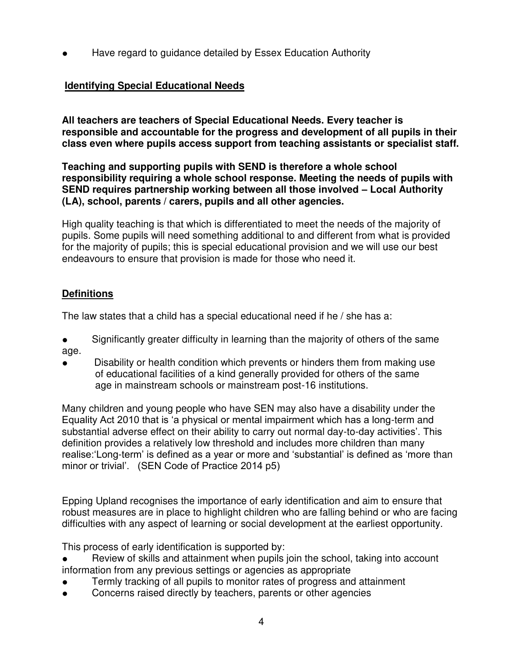Have regard to guidance detailed by Essex Education Authority

# **Identifying Special Educational Needs**

**All teachers are teachers of Special Educational Needs. Every teacher is responsible and accountable for the progress and development of all pupils in their class even where pupils access support from teaching assistants or specialist staff.**

**Teaching and supporting pupils with SEND is therefore a whole school responsibility requiring a whole school response. Meeting the needs of pupils with SEND requires partnership working between all those involved – Local Authority (LA), school, parents / carers, pupils and all other agencies.**

High quality teaching is that which is differentiated to meet the needs of the majority of pupils. Some pupils will need something additional to and different from what is provided for the majority of pupils; this is special educational provision and we will use our best endeavours to ensure that provision is made for those who need it.

#### **Definitions**

The law states that a child has a special educational need if he / she has a:

- Significantly greater difficulty in learning than the majority of others of the same age.
- Disability or health condition which prevents or hinders them from making use of educational facilities of a kind generally provided for others of the same age in mainstream schools or mainstream post-16 institutions.

Many children and young people who have SEN may also have a disability under the Equality Act 2010 that is 'a physical or mental impairment which has a long-term and substantial adverse effect on their ability to carry out normal day-to-day activities'. This definition provides a relatively low threshold and includes more children than many realise:'Long-term' is defined as a year or more and 'substantial' is defined as 'more than minor or trivial'. (SEN Code of Practice 2014 p5)

Epping Upland recognises the importance of early identification and aim to ensure that robust measures are in place to highlight children who are falling behind or who are facing difficulties with any aspect of learning or social development at the earliest opportunity.

This process of early identification is supported by:

- Review of skills and attainment when pupils join the school, taking into account information from any previous settings or agencies as appropriate
- Termly tracking of all pupils to monitor rates of progress and attainment
- Concerns raised directly by teachers, parents or other agencies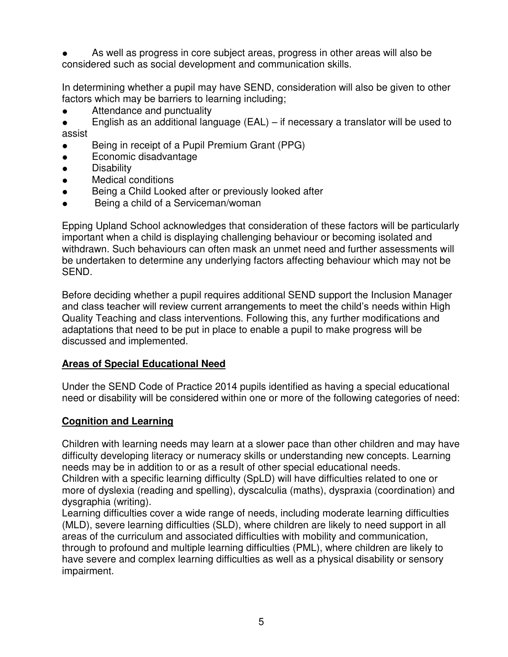As well as progress in core subject areas, progress in other areas will also be considered such as social development and communication skills.

In determining whether a pupil may have SEND, consideration will also be given to other factors which may be barriers to learning including;

• Attendance and punctuality

English as an additional language (EAL) – if necessary a translator will be used to assist

- Being in receipt of a Pupil Premium Grant (PPG)
- Economic disadvantage
- Disability
- Medical conditions
- Being a Child Looked after or previously looked after
- Being a child of a Serviceman/woman

Epping Upland School acknowledges that consideration of these factors will be particularly important when a child is displaying challenging behaviour or becoming isolated and withdrawn. Such behaviours can often mask an unmet need and further assessments will be undertaken to determine any underlying factors affecting behaviour which may not be SEND.

Before deciding whether a pupil requires additional SEND support the Inclusion Manager and class teacher will review current arrangements to meet the child's needs within High Quality Teaching and class interventions. Following this, any further modifications and adaptations that need to be put in place to enable a pupil to make progress will be discussed and implemented.

#### **Areas of Special Educational Need**

Under the SEND Code of Practice 2014 pupils identified as having a special educational need or disability will be considered within one or more of the following categories of need:

#### **Cognition and Learning**

Children with learning needs may learn at a slower pace than other children and may have difficulty developing literacy or numeracy skills or understanding new concepts. Learning needs may be in addition to or as a result of other special educational needs. Children with a specific learning difficulty (SpLD) will have difficulties related to one or

more of dyslexia (reading and spelling), dyscalculia (maths), dyspraxia (coordination) and dysgraphia (writing).

Learning difficulties cover a wide range of needs, including moderate learning difficulties (MLD), severe learning difficulties (SLD), where children are likely to need support in all areas of the curriculum and associated difficulties with mobility and communication, through to profound and multiple learning difficulties (PML), where children are likely to have severe and complex learning difficulties as well as a physical disability or sensory impairment.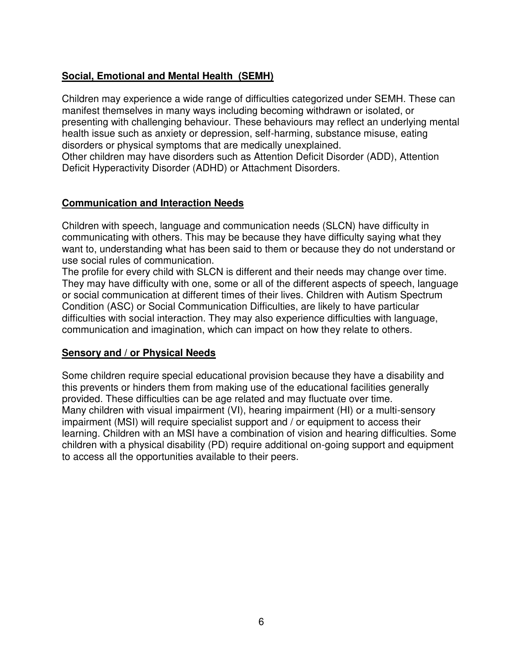#### **Social, Emotional and Mental Health (SEMH)**

Children may experience a wide range of difficulties categorized under SEMH. These can manifest themselves in many ways including becoming withdrawn or isolated, or presenting with challenging behaviour. These behaviours may reflect an underlying mental health issue such as anxiety or depression, self-harming, substance misuse, eating disorders or physical symptoms that are medically unexplained. Other children may have disorders such as Attention Deficit Disorder (ADD), Attention

Deficit Hyperactivity Disorder (ADHD) or Attachment Disorders.

#### **Communication and Interaction Needs**

Children with speech, language and communication needs (SLCN) have difficulty in communicating with others. This may be because they have difficulty saying what they want to, understanding what has been said to them or because they do not understand or use social rules of communication.

The profile for every child with SLCN is different and their needs may change over time. They may have difficulty with one, some or all of the different aspects of speech, language or social communication at different times of their lives. Children with Autism Spectrum Condition (ASC) or Social Communication Difficulties, are likely to have particular difficulties with social interaction. They may also experience difficulties with language, communication and imagination, which can impact on how they relate to others.

#### **Sensory and / or Physical Needs**

Some children require special educational provision because they have a disability and this prevents or hinders them from making use of the educational facilities generally provided. These difficulties can be age related and may fluctuate over time. Many children with visual impairment (VI), hearing impairment (HI) or a multi-sensory impairment (MSI) will require specialist support and / or equipment to access their learning. Children with an MSI have a combination of vision and hearing difficulties. Some children with a physical disability (PD) require additional on-going support and equipment to access all the opportunities available to their peers.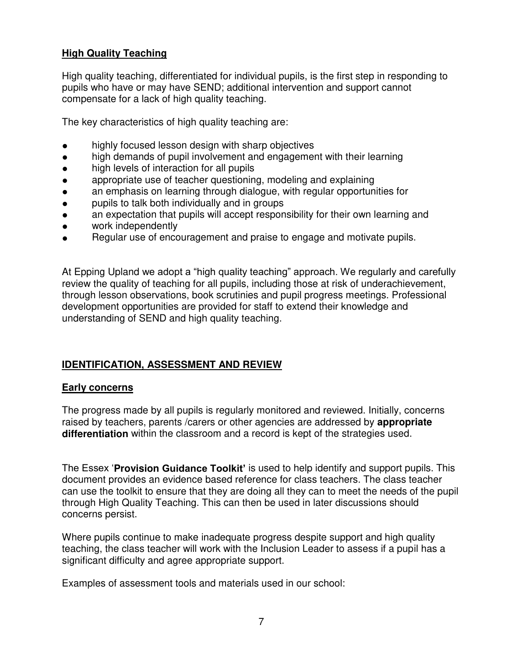#### **High Quality Teaching**

High quality teaching, differentiated for individual pupils, is the first step in responding to pupils who have or may have SEND; additional intervention and support cannot compensate for a lack of high quality teaching.

The key characteristics of high quality teaching are:

- highly focused lesson design with sharp objectives
- high demands of pupil involvement and engagement with their learning
- high levels of interaction for all pupils
- appropriate use of teacher questioning, modeling and explaining
- an emphasis on learning through dialogue, with regular opportunities for
- pupils to talk both individually and in groups
- an expectation that pupils will accept responsibility for their own learning and
- work independently
- Regular use of encouragement and praise to engage and motivate pupils.

At Epping Upland we adopt a "high quality teaching" approach. We regularly and carefully review the quality of teaching for all pupils, including those at risk of underachievement, through lesson observations, book scrutinies and pupil progress meetings. Professional development opportunities are provided for staff to extend their knowledge and understanding of SEND and high quality teaching.

#### **IDENTIFICATION, ASSESSMENT AND REVIEW**

#### **Early concerns**

The progress made by all pupils is regularly monitored and reviewed. Initially, concerns raised by teachers, parents /carers or other agencies are addressed by **appropriate differentiation** within the classroom and a record is kept of the strategies used.

The Essex '**Provision Guidance Toolkit'** is used to help identify and support pupils. This document provides an evidence based reference for class teachers. The class teacher can use the toolkit to ensure that they are doing all they can to meet the needs of the pupil through High Quality Teaching. This can then be used in later discussions should concerns persist.

Where pupils continue to make inadequate progress despite support and high quality teaching, the class teacher will work with the Inclusion Leader to assess if a pupil has a significant difficulty and agree appropriate support.

Examples of assessment tools and materials used in our school: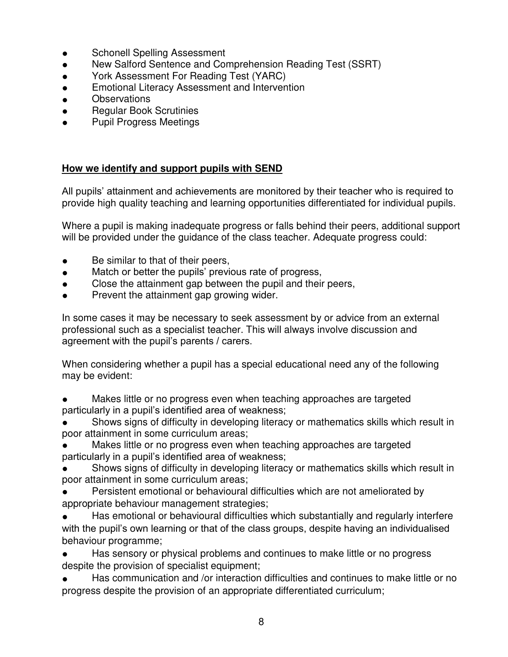- Schonell Spelling Assessment
- New Salford Sentence and Comprehension Reading Test (SSRT)
- York Assessment For Reading Test (YARC)
- **Emotional Literacy Assessment and Intervention**
- **Observations**
- Regular Book Scrutinies
- **Pupil Progress Meetings**

#### **How we identify and support pupils with SEND**

All pupils' attainment and achievements are monitored by their teacher who is required to provide high quality teaching and learning opportunities differentiated for individual pupils.

Where a pupil is making inadequate progress or falls behind their peers, additional support will be provided under the guidance of the class teacher. Adequate progress could:

- Be similar to that of their peers,
- Match or better the pupils' previous rate of progress,
- Close the attainment gap between the pupil and their peers,
- Prevent the attainment gap growing wider.

In some cases it may be necessary to seek assessment by or advice from an external professional such as a specialist teacher. This will always involve discussion and agreement with the pupil's parents / carers.

When considering whether a pupil has a special educational need any of the following may be evident:

Makes little or no progress even when teaching approaches are targeted particularly in a pupil's identified area of weakness;

Shows signs of difficulty in developing literacy or mathematics skills which result in poor attainment in some curriculum areas;

Makes little or no progress even when teaching approaches are targeted particularly in a pupil's identified area of weakness;

Shows signs of difficulty in developing literacy or mathematics skills which result in poor attainment in some curriculum areas;

Persistent emotional or behavioural difficulties which are not ameliorated by appropriate behaviour management strategies;

Has emotional or behavioural difficulties which substantially and regularly interfere with the pupil's own learning or that of the class groups, despite having an individualised behaviour programme;

Has sensory or physical problems and continues to make little or no progress despite the provision of specialist equipment;

Has communication and /or interaction difficulties and continues to make little or no progress despite the provision of an appropriate differentiated curriculum;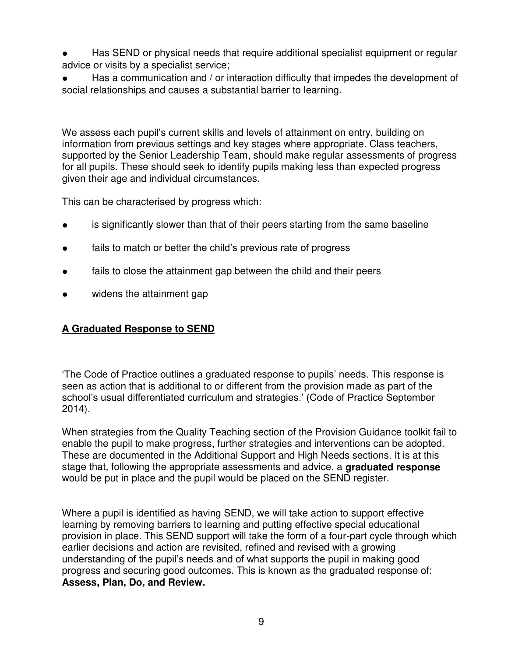- Has SEND or physical needs that require additional specialist equipment or regular advice or visits by a specialist service;
- Has a communication and / or interaction difficulty that impedes the development of social relationships and causes a substantial barrier to learning.

We assess each pupil's current skills and levels of attainment on entry, building on information from previous settings and key stages where appropriate. Class teachers, supported by the Senior Leadership Team, should make regular assessments of progress for all pupils. These should seek to identify pupils making less than expected progress given their age and individual circumstances.

This can be characterised by progress which:

- is significantly slower than that of their peers starting from the same baseline
- fails to match or better the child's previous rate of progress
- fails to close the attainment gap between the child and their peers
- widens the attainment gap

# **A Graduated Response to SEND**

'The Code of Practice outlines a graduated response to pupils' needs. This response is seen as action that is additional to or different from the provision made as part of the school's usual differentiated curriculum and strategies.' (Code of Practice September 2014).

When strategies from the Quality Teaching section of the Provision Guidance toolkit fail to enable the pupil to make progress, further strategies and interventions can be adopted. These are documented in the Additional Support and High Needs sections. It is at this stage that, following the appropriate assessments and advice, a **graduated response** would be put in place and the pupil would be placed on the SEND register.

Where a pupil is identified as having SEND, we will take action to support effective learning by removing barriers to learning and putting effective special educational provision in place. This SEND support will take the form of a four-part cycle through which earlier decisions and action are revisited, refined and revised with a growing understanding of the pupil's needs and of what supports the pupil in making good progress and securing good outcomes. This is known as the graduated response of: **Assess, Plan, Do, and Review.**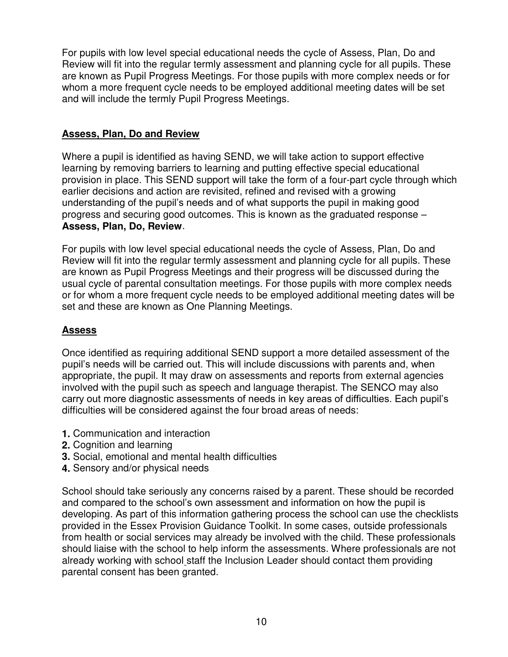For pupils with low level special educational needs the cycle of Assess, Plan, Do and Review will fit into the regular termly assessment and planning cycle for all pupils. These are known as Pupil Progress Meetings. For those pupils with more complex needs or for whom a more frequent cycle needs to be employed additional meeting dates will be set and will include the termly Pupil Progress Meetings.

#### **Assess, Plan, Do and Review**

Where a pupil is identified as having SEND, we will take action to support effective learning by removing barriers to learning and putting effective special educational provision in place. This SEND support will take the form of a four-part cycle through which earlier decisions and action are revisited, refined and revised with a growing understanding of the pupil's needs and of what supports the pupil in making good progress and securing good outcomes. This is known as the graduated response – **Assess, Plan, Do, Review**.

For pupils with low level special educational needs the cycle of Assess, Plan, Do and Review will fit into the regular termly assessment and planning cycle for all pupils. These are known as Pupil Progress Meetings and their progress will be discussed during the usual cycle of parental consultation meetings. For those pupils with more complex needs or for whom a more frequent cycle needs to be employed additional meeting dates will be set and these are known as One Planning Meetings.

# **Assess**

Once identified as requiring additional SEND support a more detailed assessment of the pupil's needs will be carried out. This will include discussions with parents and, when appropriate, the pupil. It may draw on assessments and reports from external agencies involved with the pupil such as speech and language therapist. The SENCO may also carry out more diagnostic assessments of needs in key areas of difficulties. Each pupil's difficulties will be considered against the four broad areas of needs:

- **1.** Communication and interaction
- **2.** Cognition and learning
- **3.** Social, emotional and mental health difficulties
- **4.** Sensory and/or physical needs

School should take seriously any concerns raised by a parent. These should be recorded and compared to the school's own assessment and information on how the pupil is developing. As part of this information gathering process the school can use the checklists provided in the Essex Provision Guidance Toolkit. In some cases, outside professionals from health or social services may already be involved with the child. These professionals should liaise with the school to help inform the assessments. Where professionals are not already working with school staff the Inclusion Leader should contact them providing parental consent has been granted.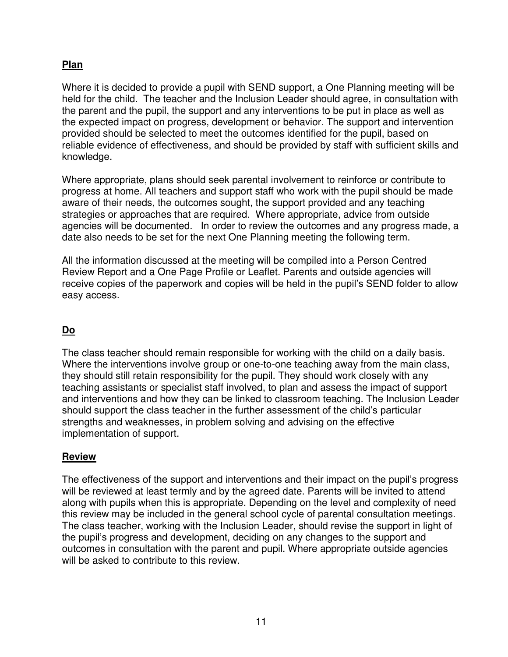# **Plan**

Where it is decided to provide a pupil with SEND support, a One Planning meeting will be held for the child. The teacher and the Inclusion Leader should agree, in consultation with the parent and the pupil, the support and any interventions to be put in place as well as the expected impact on progress, development or behavior. The support and intervention provided should be selected to meet the outcomes identified for the pupil, based on reliable evidence of effectiveness, and should be provided by staff with sufficient skills and knowledge.

Where appropriate, plans should seek parental involvement to reinforce or contribute to progress at home. All teachers and support staff who work with the pupil should be made aware of their needs, the outcomes sought, the support provided and any teaching strategies or approaches that are required. Where appropriate, advice from outside agencies will be documented. In order to review the outcomes and any progress made, a date also needs to be set for the next One Planning meeting the following term.

All the information discussed at the meeting will be compiled into a Person Centred Review Report and a One Page Profile or Leaflet. Parents and outside agencies will receive copies of the paperwork and copies will be held in the pupil's SEND folder to allow easy access.

# **Do**

The class teacher should remain responsible for working with the child on a daily basis. Where the interventions involve group or one-to-one teaching away from the main class, they should still retain responsibility for the pupil. They should work closely with any teaching assistants or specialist staff involved, to plan and assess the impact of support and interventions and how they can be linked to classroom teaching. The Inclusion Leader should support the class teacher in the further assessment of the child's particular strengths and weaknesses, in problem solving and advising on the effective implementation of support.

#### **Review**

The effectiveness of the support and interventions and their impact on the pupil's progress will be reviewed at least termly and by the agreed date. Parents will be invited to attend along with pupils when this is appropriate. Depending on the level and complexity of need this review may be included in the general school cycle of parental consultation meetings. The class teacher, working with the Inclusion Leader, should revise the support in light of the pupil's progress and development, deciding on any changes to the support and outcomes in consultation with the parent and pupil. Where appropriate outside agencies will be asked to contribute to this review.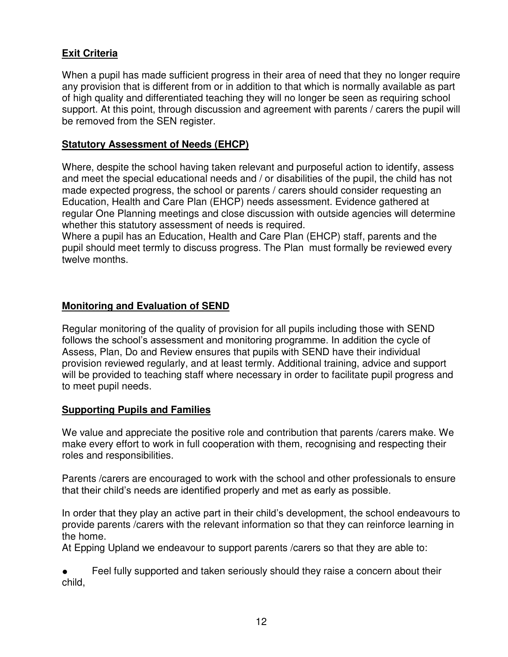#### **Exit Criteria**

When a pupil has made sufficient progress in their area of need that they no longer require any provision that is different from or in addition to that which is normally available as part of high quality and differentiated teaching they will no longer be seen as requiring school support. At this point, through discussion and agreement with parents / carers the pupil will be removed from the SEN register.

#### **Statutory Assessment of Needs (EHCP)**

Where, despite the school having taken relevant and purposeful action to identify, assess and meet the special educational needs and / or disabilities of the pupil, the child has not made expected progress, the school or parents / carers should consider requesting an Education, Health and Care Plan (EHCP) needs assessment. Evidence gathered at regular One Planning meetings and close discussion with outside agencies will determine whether this statutory assessment of needs is required.

Where a pupil has an Education, Health and Care Plan (EHCP) staff, parents and the pupil should meet termly to discuss progress. The Plan must formally be reviewed every twelve months.

#### **Monitoring and Evaluation of SEND**

Regular monitoring of the quality of provision for all pupils including those with SEND follows the school's assessment and monitoring programme. In addition the cycle of Assess, Plan, Do and Review ensures that pupils with SEND have their individual provision reviewed regularly, and at least termly. Additional training, advice and support will be provided to teaching staff where necessary in order to facilitate pupil progress and to meet pupil needs.

#### **Supporting Pupils and Families**

We value and appreciate the positive role and contribution that parents /carers make. We make every effort to work in full cooperation with them, recognising and respecting their roles and responsibilities.

Parents /carers are encouraged to work with the school and other professionals to ensure that their child's needs are identified properly and met as early as possible.

In order that they play an active part in their child's development, the school endeavours to provide parents /carers with the relevant information so that they can reinforce learning in the home.

At Epping Upland we endeavour to support parents /carers so that they are able to:

Feel fully supported and taken seriously should they raise a concern about their child,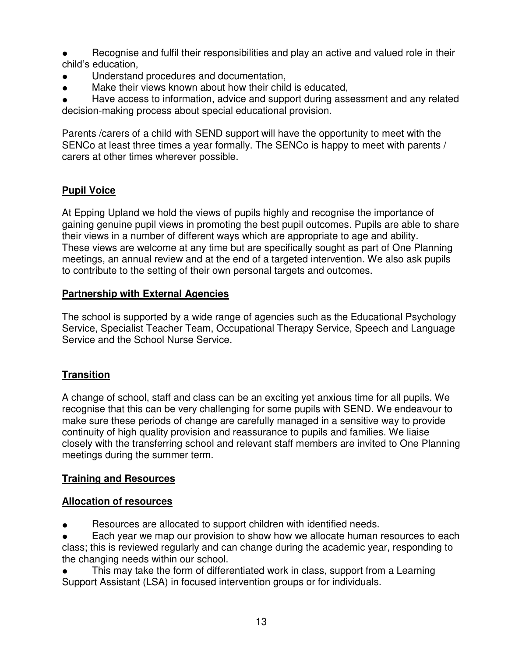- Recognise and fulfil their responsibilities and play an active and valued role in their child's education,
- Understand procedures and documentation,
- Make their views known about how their child is educated.

Have access to information, advice and support during assessment and any related decision-making process about special educational provision.

Parents /carers of a child with SEND support will have the opportunity to meet with the SENCo at least three times a year formally. The SENCo is happy to meet with parents / carers at other times wherever possible.

# **Pupil Voice**

At Epping Upland we hold the views of pupils highly and recognise the importance of gaining genuine pupil views in promoting the best pupil outcomes. Pupils are able to share their views in a number of different ways which are appropriate to age and ability. These views are welcome at any time but are specifically sought as part of One Planning meetings, an annual review and at the end of a targeted intervention. We also ask pupils to contribute to the setting of their own personal targets and outcomes.

#### **Partnership with External Agencies**

The school is supported by a wide range of agencies such as the Educational Psychology Service, Specialist Teacher Team, Occupational Therapy Service, Speech and Language Service and the School Nurse Service.

# **Transition**

A change of school, staff and class can be an exciting yet anxious time for all pupils. We recognise that this can be very challenging for some pupils with SEND. We endeavour to make sure these periods of change are carefully managed in a sensitive way to provide continuity of high quality provision and reassurance to pupils and families. We liaise closely with the transferring school and relevant staff members are invited to One Planning meetings during the summer term.

# **Training and Resources**

#### **Allocation of resources**

● Resources are allocated to support children with identified needs.

Each year we map our provision to show how we allocate human resources to each class; this is reviewed regularly and can change during the academic year, responding to the changing needs within our school.

This may take the form of differentiated work in class, support from a Learning Support Assistant (LSA) in focused intervention groups or for individuals.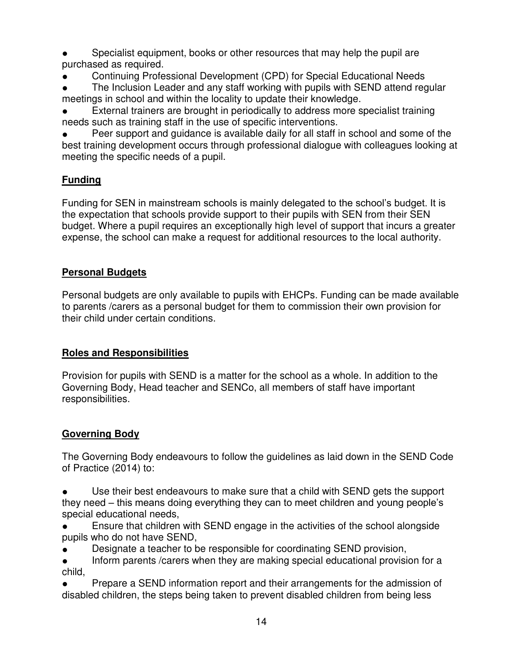Specialist equipment, books or other resources that may help the pupil are purchased as required.

Continuing Professional Development (CPD) for Special Educational Needs

The Inclusion Leader and any staff working with pupils with SEND attend regular meetings in school and within the locality to update their knowledge.

External trainers are brought in periodically to address more specialist training needs such as training staff in the use of specific interventions.

Peer support and guidance is available daily for all staff in school and some of the best training development occurs through professional dialogue with colleagues looking at meeting the specific needs of a pupil.

# **Funding**

Funding for SEN in mainstream schools is mainly delegated to the school's budget. It is the expectation that schools provide support to their pupils with SEN from their SEN budget. Where a pupil requires an exceptionally high level of support that incurs a greater expense, the school can make a request for additional resources to the local authority.

#### **Personal Budgets**

Personal budgets are only available to pupils with EHCPs. Funding can be made available to parents /carers as a personal budget for them to commission their own provision for their child under certain conditions.

# **Roles and Responsibilities**

Provision for pupils with SEND is a matter for the school as a whole. In addition to the Governing Body, Head teacher and SENCo, all members of staff have important responsibilities.

# **Governing Body**

The Governing Body endeavours to follow the guidelines as laid down in the SEND Code of Practice (2014) to:

Use their best endeavours to make sure that a child with SEND gets the support they need – this means doing everything they can to meet children and young people's special educational needs,

● Ensure that children with SEND engage in the activities of the school alongside pupils who do not have SEND,

- Designate a teacher to be responsible for coordinating SEND provision,
- Inform parents / carers when they are making special educational provision for a child,

Prepare a SEND information report and their arrangements for the admission of disabled children, the steps being taken to prevent disabled children from being less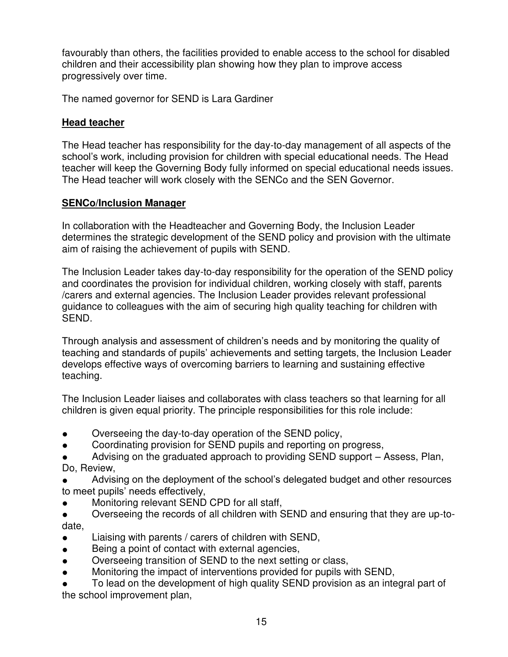favourably than others, the facilities provided to enable access to the school for disabled children and their accessibility plan showing how they plan to improve access progressively over time.

The named governor for SEND is Lara Gardiner

# **Head teacher**

The Head teacher has responsibility for the day-to-day management of all aspects of the school's work, including provision for children with special educational needs. The Head teacher will keep the Governing Body fully informed on special educational needs issues. The Head teacher will work closely with the SENCo and the SEN Governor.

#### **SENCo/Inclusion Manager**

In collaboration with the Headteacher and Governing Body, the Inclusion Leader determines the strategic development of the SEND policy and provision with the ultimate aim of raising the achievement of pupils with SEND.

The Inclusion Leader takes day-to-day responsibility for the operation of the SEND policy and coordinates the provision for individual children, working closely with staff, parents /carers and external agencies. The Inclusion Leader provides relevant professional guidance to colleagues with the aim of securing high quality teaching for children with SEND.

Through analysis and assessment of children's needs and by monitoring the quality of teaching and standards of pupils' achievements and setting targets, the Inclusion Leader develops effective ways of overcoming barriers to learning and sustaining effective teaching.

The Inclusion Leader liaises and collaborates with class teachers so that learning for all children is given equal priority. The principle responsibilities for this role include:

- Overseeing the day-to-day operation of the SEND policy,
- Coordinating provision for SEND pupils and reporting on progress,
- Advising on the graduated approach to providing SEND support Assess, Plan, Do, Review,

Advising on the deployment of the school's delegated budget and other resources to meet pupils' needs effectively,

- Monitoring relevant SEND CPD for all staff,
- Overseeing the records of all children with SEND and ensuring that they are up-todate,
- Liaising with parents / carers of children with SEND,
- Being a point of contact with external agencies,
- Overseeing transition of SEND to the next setting or class,
- Monitoring the impact of interventions provided for pupils with SEND,

To lead on the development of high quality SEND provision as an integral part of the school improvement plan,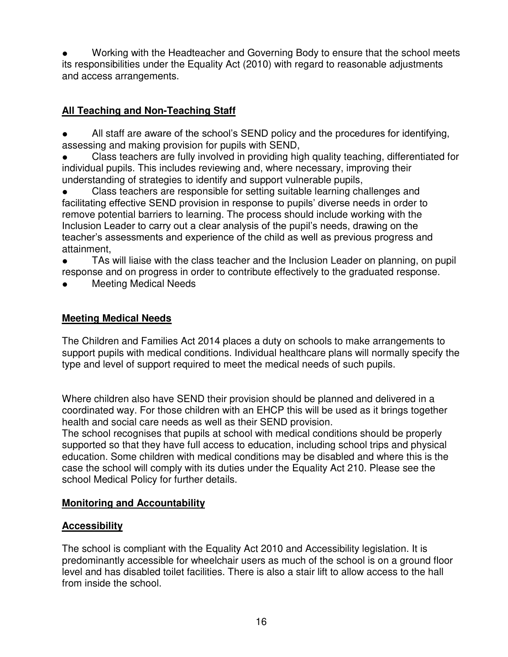Working with the Headteacher and Governing Body to ensure that the school meets its responsibilities under the Equality Act (2010) with regard to reasonable adjustments and access arrangements.

# **All Teaching and Non-Teaching Staff**

- All staff are aware of the school's SEND policy and the procedures for identifying, assessing and making provision for pupils with SEND,
- Class teachers are fully involved in providing high quality teaching, differentiated for individual pupils. This includes reviewing and, where necessary, improving their understanding of strategies to identify and support vulnerable pupils,

● Class teachers are responsible for setting suitable learning challenges and facilitating effective SEND provision in response to pupils' diverse needs in order to remove potential barriers to learning. The process should include working with the Inclusion Leader to carry out a clear analysis of the pupil's needs, drawing on the teacher's assessments and experience of the child as well as previous progress and attainment,

● TAs will liaise with the class teacher and the Inclusion Leader on planning, on pupil response and on progress in order to contribute effectively to the graduated response.

**Meeting Medical Needs** 

#### **Meeting Medical Needs**

The Children and Families Act 2014 places a duty on schools to make arrangements to support pupils with medical conditions. Individual healthcare plans will normally specify the type and level of support required to meet the medical needs of such pupils.

Where children also have SEND their provision should be planned and delivered in a coordinated way. For those children with an EHCP this will be used as it brings together health and social care needs as well as their SEND provision.

The school recognises that pupils at school with medical conditions should be properly supported so that they have full access to education, including school trips and physical education. Some children with medical conditions may be disabled and where this is the case the school will comply with its duties under the Equality Act 210. Please see the school Medical Policy for further details.

#### **Monitoring and Accountability**

# **Accessibility**

The school is compliant with the Equality Act 2010 and Accessibility legislation. It is predominantly accessible for wheelchair users as much of the school is on a ground floor level and has disabled toilet facilities. There is also a stair lift to allow access to the hall from inside the school.